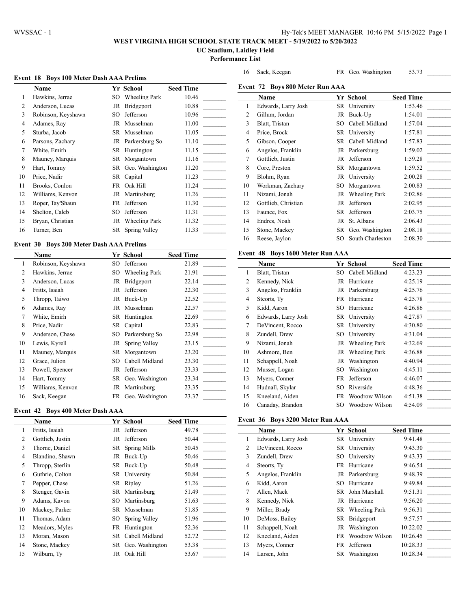# **WEST VIRGINIA HIGH SCHOOL STATE TRACK MEET - 5/19/2022 to 5/20/2022**

**UC Stadium, Laidley Field Performance List**

# **Event 18 Boys 100 Meter Dash AAA Prelims**

|                | Name               |     | Yr School            | <b>Seed Time</b> |
|----------------|--------------------|-----|----------------------|------------------|
| 1              | Hawkins, Jerrae    | SО  | <b>Wheeling Park</b> | 10.46            |
| $\overline{c}$ | Anderson, Lucas    | JR  | Bridgeport           | 10.88            |
| 3              | Robinson, Keyshawn | SO  | Jefferson            | 10.96            |
| $\overline{4}$ | Adames, Ray        | JR  | Musselman            | 11.00            |
| 5              | Sturba, Jacob      | SR. | Musselman            | 11.05            |
| 6              | Parsons, Zachary   |     | JR Parkersburg So.   | 11.10            |
| 7              | White, Emirh       |     | SR Huntington        | 11.15            |
| 8              | Mauney, Marquis    |     | SR Morgantown        | 11.16            |
| 9              | Hart, Tommy        |     | SR Geo. Washington   | 11.20            |
| 10             | Price, Nadir       | SR  | Capital              | 11.23            |
| 11             | Brooks, Conlon     | FR  | Oak Hill             | 11.24            |
| 12             | Williams, Kenvon   | JR  | Martinsburg          | 11.26            |
| 13             | Roper, Tay'Shaun   | FR  | Jefferson            | 11.30            |
| 14             | Shelton, Caleb     | SO  | Jefferson            | 11.31            |
| 15             | Bryan, Christian   | JR  | <b>Wheeling Park</b> | 11.32            |
| 16             | Turner, Ben        | SR  | Spring Valley        | 11.33            |

# **Event 30 Boys 200 Meter Dash AAA Prelims**

|    | Name               |    | Yr School            | <b>Seed Time</b> |
|----|--------------------|----|----------------------|------------------|
| 1  | Robinson, Keyshawn | SO | Jefferson            | 21.89            |
| 2  | Hawkins, Jerrae    | SО | <b>Wheeling Park</b> | 21.91            |
| 3  | Anderson, Lucas    | JR | Bridgeport           | 22.14            |
| 4  | Fritts, Isaiah     | JR | Jefferson            | 22.30            |
| 5  | Thropp, Taiwo      | JR | Buck-Up              | 22.52            |
| 6  | Adames, Ray        | JR | Musselman            | 22.57            |
| 7  | White, Emirh       |    | SR Huntington        | 22.69            |
| 8  | Price, Nadir       |    | SR Capital           | 22.83            |
| 9  | Anderson, Chase    | SО | Parkersburg So.      | 22.98            |
| 10 | Lewis, Kyrell      | JR | Spring Valley        | 23.15            |
| 11 | Mauney, Marquis    | SR | Morgantown           | 23.20            |
| 12 | Grace, Julion      | SO | Cabell Midland       | 23.30            |
| 13 | Powell, Spencer    | JR | Jefferson            | 23.33            |
| 14 | Hart, Tommy        |    | SR Geo. Washington   | 23.34            |
| 15 | Williams, Kenvon   | JR | Martinsburg          | 23.35            |
| 16 | Sack, Keegan       | FR | Geo. Washington      | 23.37            |

# **Event 42 Boys 400 Meter Dash AAA**

|                | Name             |      | Yr School          | <b>Seed Time</b> |
|----------------|------------------|------|--------------------|------------------|
| 1              | Fritts, Isaiah   |      | JR Jefferson       | 49.78            |
| 2              | Gottlieb, Justin | JR   | Jefferson          | 50.44            |
| 3              | Thorne, Daniel   | SR   | Spring Mills       | 50.45            |
| $\overline{4}$ | Blandino, Shawn  | JR   | Buck-Up            | 50.46            |
| 5              | Thropp, Sterlin  |      | SR Buck-Up         | 50.48            |
| 6              | Guthrie, Colton  |      | SR University      | 50.84            |
| 7              | Pepper, Chase    |      | SR Ripley          | 51.26            |
| 8              | Stenger, Gavin   |      | SR Martinsburg     | 51.49            |
| 9              | Adams, Kavon     | SO.  | Martinsburg        | 51.63            |
| 10             | Mackey, Parker   | SR   | Musselman          | 51.85            |
| 11             | Thomas, Adam     | SO - | Spring Valley      | 51.96            |
| 12             | Meadors, Myles   |      | FR Huntington      | 52.36            |
| 13             | Moran, Mason     | SR   | Cabell Midland     | 52.72            |
| 14             | Stone, Mackey    |      | SR Geo. Washington | 53.38            |
| 15             | Wilburn, Ty      | JR   | Oak Hill           | 53.67            |

|    | <b>Name</b>         |    | Yr School        | <b>Seed Time</b> |
|----|---------------------|----|------------------|------------------|
| 1  | Edwards, Larry Josh | SR | University       | 1:53.46          |
| 2  | Gillum, Jordan      | JR | Buck-Up          | 1:54.01          |
| 3  | Blatt, Tristan      | SO | Cabell Midland   | 1:57.04          |
| 4  | Price, Brock        | SR | University       | 1:57.81          |
| 5  | Gibson, Cooper      | SR | Cabell Midland   | 1:57.83          |
| 6  | Angelos, Franklin   | JR | Parkersburg      | 1:59.02          |
| 7  | Gottlieb, Justin    | JR | Jefferson        | 1:59.28          |
| 8  | Core, Preston       | SR | Morgantown       | 1:59.52          |
| 9  | Blohm, Ryan         | JR | University       | 2:00.28          |
| 10 | Workman, Zachary    | SO | Morgantown       | 2:00.83          |
| 11 | Nizami, Jonah       | JR | Wheeling Park    | 2:02.86          |
| 12 | Gottlieb, Christian | JR | Jefferson        | 2:02.95          |
| 13 | Faunce, Fox         | SR | Jefferson        | 2:03.75          |
| 14 | Endres, Noah        | JR | St. Albans       | 2:06.43          |
| 15 | Stone, Mackey       | SR | Geo. Washington  | 2:08.18          |
| 16 | Reese, Jaylon       | SO | South Charleston | 2:08.30          |
|    |                     |    |                  |                  |

Sack, Keegan FR Geo. Washington 53.73 \_\_\_\_\_\_\_\_\_

# **Event 48 Boys 1600 Meter Run AAA**

|    | Name                |     | Yr School            | <b>Seed Time</b> |
|----|---------------------|-----|----------------------|------------------|
| 1  | Blatt, Tristan      | SO. | Cabell Midland       | 4:23.23          |
| 2  | Kennedy, Nick       | JR  | Hurricane            | 4:25.19          |
| 3  | Angelos, Franklin   |     | JR Parkersburg       | 4:25.76          |
| 4  | Steorts, Ty         | FR  | Hurricane            | 4:25.78          |
| 5  | Kidd, Aaron         | SO. | Hurricane            | 4:26.86          |
| 6  | Edwards, Larry Josh |     | SR University        | 4:27.87          |
| 7  | DeVincent, Rocco    |     | SR University        | 4:30.80          |
| 8  | Zundell, Drew       | SO. | University           | 4:31.04          |
| 9  | Nizami, Jonah       | JR  | <b>Wheeling Park</b> | 4:32.69          |
| 10 | Ashmore, Ben        | JR  | <b>Wheeling Park</b> | 4:36.88          |
| 11 | Schappell, Noah     | JR  | Washington           | 4:40.94          |
| 12 | Musser, Logan       | SO  | Washington           | 4:45.11          |
| 13 | Myers, Conner       | FR  | Jefferson            | 4:46.07          |
| 14 | Hudnall, Skylar     | SO. | Riverside            | 4:48.36          |
| 15 | Kneeland, Aiden     | FR  | Woodrow Wilson       | 4:51.38          |
| 16 | Canaday, Brandon    | SO. | Woodrow Wilson       | 4:54.09          |

# **Event 36 Boys 3200 Meter Run AAA**

|                | Name                |     | Yr School        | <b>Seed Time</b> |
|----------------|---------------------|-----|------------------|------------------|
| 1              | Edwards, Larry Josh |     | SR University    | 9:41.48          |
| 2              | DeVincent, Rocco    |     | SR University    | 9:43.30          |
| 3              | Zundell, Drew       | SО  | University       | 9:43.33          |
| $\overline{4}$ | Steorts, Ty         | FR  | Hurricane        | 9:46.54          |
| 5              | Angelos, Franklin   |     | JR Parkersburg   | 9:48.39          |
| 6              | Kidd, Aaron         | SO  | Hurricane        | 9:49.84          |
| 7              | Allen, Mack         |     | SR John Marshall | 9:51.31          |
| 8              | Kennedy, Nick       |     | JR Hurricane     | 9:56.20          |
| 9              | Miller, Brady       |     | SR Wheeling Park | 9:56.31          |
| 10             | DeMoss, Bailey      |     | SR Bridgeport    | 9:57.57          |
| 11             | Schappell, Noah     | JR  | Washington       | 10:22.02         |
| 12             | Kneeland, Aiden     | FR. | Woodrow Wilson   | 10:26.45         |
| 13             | Myers, Conner       | FR  | Jefferson        | 10:28.33         |
| 14             | Larsen, John        | SR  | Washington       | 10:28.34         |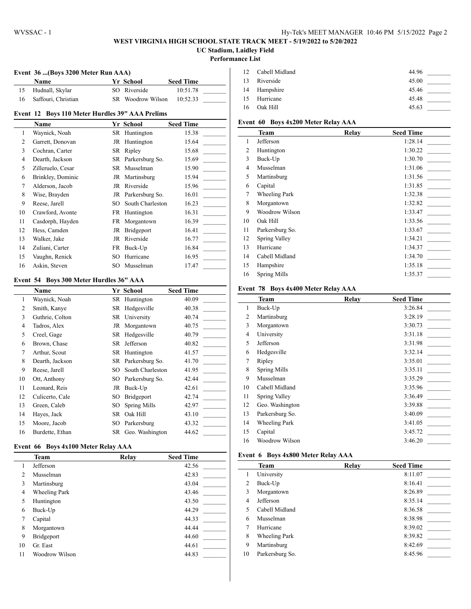# **WEST VIRGINIA HIGH SCHOOL STATE TRACK MEET - 5/19/2022 to 5/20/2022 UC Stadium, Laidley Field**

#### **Performance List**

# **Event 36 ...(Boys 3200 Meter Run AAA)**

| <b>Name</b>         | <b>Yr School</b>  | <b>Seed Time</b> |  |
|---------------------|-------------------|------------------|--|
| Hudnall, Skylar     | SO Riverside      | 10:51.78         |  |
| Saffouri, Christian | SR Woodrow Wilson | 10:52.33         |  |

# **Event 12 Boys 110 Meter Hurdles 39" AAA Prelims**

|    | Name              |    | Yr School          | <b>Seed Time</b> |
|----|-------------------|----|--------------------|------------------|
| 1  | Waynick, Noah     |    | SR Huntington      | 15.38            |
| 2  | Garrett, Donovan  |    | JR Huntington      | 15.64            |
| 3  | Cochran, Carter   |    | SR Ripley          | 15.68            |
| 4  | Dearth, Jackson   |    | SR Parkersburg So. | 15.69            |
| 5  | Zilleruelo, Cesar |    | SR Musselman       | 15.90            |
| 6  | Brinkley, Dominic |    | JR Martinsburg     | 15.94            |
| 7  | Alderson, Jacob   | JR | Riverside          | 15.96            |
| 8  | Wise, Brayden     |    | JR Parkersburg So. | 16.01            |
| 9  | Reese, Jarell     | SO | South Charleston   | 16.23            |
| 10 | Crawford, Avonte  |    | FR Huntington      | 16.31            |
| 11 | Casdorph, Hayden  |    | FR Morgantown      | 16.39            |
| 12 | Hess, Camden      |    | JR Bridgeport      | 16.41            |
| 13 | Walker, Jake      | JR | Riverside          | 16.77            |
| 14 | Zuliani, Carter   |    | FR Buck-Up         | 16.84            |
| 15 | Vaughn, Renick    | SО | Hurricane          | 16.95            |
| 16 | Askin, Steven     | SO | Musselman          | 17.47            |

#### **Event 54 Boys 300 Meter Hurdles 36" AAA**

|                | <b>Name</b>     |    | Yr School          | <b>Seed Time</b> |
|----------------|-----------------|----|--------------------|------------------|
| 1              | Waynick, Noah   |    | SR Huntington      | 40.09            |
| 2              | Smith, Kanye    | SR | Hedgesville        | 40.38            |
| 3              | Guthrie, Colton |    | SR University      | 40.74            |
| $\overline{4}$ | Tadros, Alex    | JR | Morgantown         | 40.75            |
| 5              | Creel, Gage     | SR | Hedgesville        | 40.79            |
| 6              | Brown, Chase    | SR | Jefferson          | 40.82            |
| 7              | Arthur, Scout   | SR | Huntington         | 41.57            |
| 8              | Dearth, Jackson | SR | Parkersburg So.    | 41.70            |
| 9              | Reese, Jarell   | SО | South Charleston   | 41.95            |
| 10             | Ott, Anthony    | SO | Parkersburg So.    | 42.44            |
| 11             | Leonard, Reis   | JR | Buck-Up            | 42.61            |
| 12             | Culicerto, Cale | SО | Bridgeport         | 42.74            |
| 13             | Green, Caleb    | SO | Spring Mills       | 42.97            |
| 14             | Hayes, Jack     | SR | Oak Hill           | 43.10            |
| 15             | Moore, Jacob    | SO | Parkersburg        | 43.32            |
| 16             | Burdette, Ethan |    | SR Geo. Washington | 44.62            |

# **Event 66 Boys 4x100 Meter Relay AAA**

|                | Team                 | Relay | <b>Seed Time</b> |
|----------------|----------------------|-------|------------------|
| 1              | Jefferson            |       | 42.56            |
| $\overline{c}$ | Musselman            |       | 42.83            |
| 3              | Martinsburg          |       | 43.04            |
| 4              | <b>Wheeling Park</b> |       | 43.46            |
| 5              | Huntington           |       | 43.50            |
| 6              | Buck-Up              |       | 44.29            |
| 7              | Capital              |       | 44.33            |
| 8              | Morgantown           |       | 44.44            |
| 9              | Bridgeport           |       | 44.60            |
| 10             | Gr. East             |       | 44.61            |
| 11             | Woodrow Wilson       |       | 44.83            |

|    | 12 Cabell Midland | 44.96 |
|----|-------------------|-------|
|    | 13 Riverside      | 45.00 |
|    | 14 Hampshire      | 45.46 |
|    | 15 Hurricane      | 45.48 |
| 16 | Oak Hill          | 45.63 |

# **Event 60 Boys 4x200 Meter Relay AAA**

|                | Team                 | Relay | <b>Seed Time</b> |
|----------------|----------------------|-------|------------------|
| 1              | Jefferson            |       | 1:28.14          |
| 2              | Huntington           |       | 1:30.22          |
| 3              | Buck-Up              |       | 1:30.70          |
| $\overline{4}$ | Musselman            |       | 1:31.06          |
| 5              | Martinsburg          |       | 1:31.56          |
| 6              | Capital              |       | 1:31.85          |
| 7              | <b>Wheeling Park</b> |       | 1:32.38          |
| 8              | Morgantown           |       | 1:32.82          |
| 9              | Woodrow Wilson       |       | 1:33.47          |
| 10             | Oak Hill             |       | 1:33.56          |
| 11             | Parkersburg So.      |       | 1:33.67          |
| 12             | Spring Valley        |       | 1:34.21          |
| 13             | Hurricane            |       | 1:34.37          |
| 14             | Cabell Midland       |       | 1:34.70          |
| 15             | Hampshire            |       | 1:35.18          |
| 16             | <b>Spring Mills</b>  |       | 1:35.37          |

#### **Event 78 Boys 4x400 Meter Relay AAA**

|    | Team                | Relay | <b>Seed Time</b> |
|----|---------------------|-------|------------------|
| 1  | Buck-Up             |       | 3:26.84          |
| 2  | Martinsburg         |       | 3:28.19          |
| 3  | Morgantown          |       | 3:30.73          |
| 4  | University          |       | 3:31.18          |
| 5  | Jefferson           |       | 3:31.98          |
| 6  | Hedgesville         |       | 3:32.14          |
| 7  | Ripley              |       | 3:35.01          |
| 8  | <b>Spring Mills</b> |       | 3:35.11          |
| 9  | Musselman           |       | 3:35.29          |
| 10 | Cabell Midland      |       | 3:35.96          |
| 11 | Spring Valley       |       | 3:36.49          |
| 12 | Geo. Washington     |       | 3:39.88          |
| 13 | Parkersburg So.     |       | 3:40.09          |
| 14 | Wheeling Park       |       | 3:41.05          |
| 15 | Capital             |       | 3:45.72          |
| 16 | Woodrow Wilson      |       | 3:46.20          |

### **Event 6 Boys 4x800 Meter Relay AAA**

|    | Team            | Relay | <b>Seed Time</b> |
|----|-----------------|-------|------------------|
|    | University      |       | 8:11.07          |
| 2  | Buck-Up         |       | 8:16.41          |
| 3  | Morgantown      |       | 8:26.89          |
| 4  | Jefferson       |       | 8:35.14          |
| 5  | Cabell Midland  |       | 8:36.58          |
| 6  | Musselman       |       | 8:38.98          |
| 7  | Hurricane       |       | 8:39.02          |
| 8  | Wheeling Park   |       | 8:39.82          |
| 9  | Martinsburg     |       | 8:42.69          |
| 10 | Parkersburg So. |       | 8:45.96          |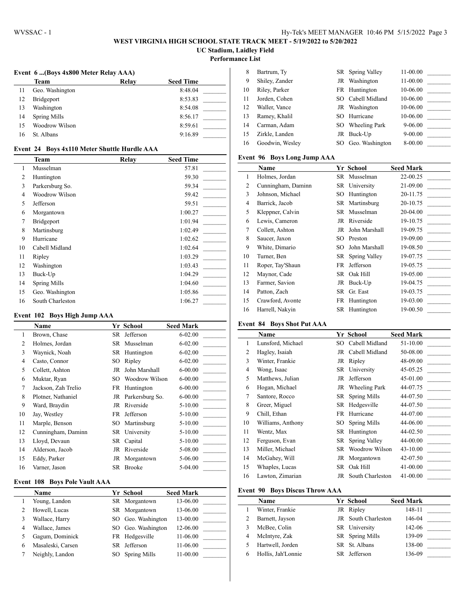# **WEST VIRGINIA HIGH SCHOOL STATE TRACK MEET - 5/19/2022 to 5/20/2022 UC Stadium, Laidley Field**

**Performance List**

 $\overline{\phantom{a}}$ 

**Event 6 ...(Boys 4x800 Meter Relay AAA)**

|    | Team            | Relay | <b>Seed Time</b> |
|----|-----------------|-------|------------------|
| 11 | Geo. Washington |       | 8:48.04          |
| 12 | Bridgeport      |       | 8:53.83          |
| 13 | Washington      |       | 8:54.08          |
| 14 | Spring Mills    |       | 8:56.17          |
| 15 | Woodrow Wilson  |       | 8:59.61          |
| 16 | St. Albans      |       | 9:16.89          |
|    |                 |       |                  |

| 8  | Bartrum, Ty     |      | SR Spring Valley  | 11-00.00    |  |
|----|-----------------|------|-------------------|-------------|--|
| 9  | Shiley, Zander  | JR 1 | Washington        | 11-00.00    |  |
| 10 | Riley, Parker   |      | FR Huntington     | 10-06.00    |  |
| 11 | Jorden, Cohen   |      | SO Cabell Midland | 10-06.00    |  |
| 12 | Waller, Vance   |      | JR Washington     | 10-06.00    |  |
| 13 | Ramey, Khalil   | SO.  | Hurricane         | 10-06.00    |  |
| 14 | Carman, Adam    | SO.  | Wheeling Park     | $9 - 06.00$ |  |
| 15 | Zirkle, Landen  |      | JR Buck-Up        | $9 - 00.00$ |  |
| 16 | Goodwin, Wesley | SO.  | Geo. Washington   | 8-00.00     |  |

# **Event 96 Boys Long Jump AAA**

|    | -                  |      |                |                  |
|----|--------------------|------|----------------|------------------|
|    | Name               |      | Yr School      | <b>Seed Mark</b> |
| 1  | Holmes, Jordan     | SR   | Musselman      | 22-00.25         |
| 2  | Cunningham, Daminn |      | SR University  | 21-09.00         |
| 3  | Johnson, Michael   | SO   | Huntington     | 20-11.75         |
| 4  | Barrick, Jacob     |      | SR Martinsburg | 20-10.75         |
| 5  | Kleppner, Calvin   |      | SR Musselman   | 20-04.00         |
| 6  | Lewis, Cameron     |      | JR Riverside   | 19-10.75         |
| 7  | Collett, Ashton    | JR   | John Marshall  | 19-09.75         |
| 8  | Saucer, Jaxon      | SO   | Preston        | 19-09.00         |
| 9  | White, Dimario     | SO.  | John Marshall  | 19-08.50         |
| 10 | Turner, Ben        | SR - | Spring Valley  | 19-07.75         |
| 11 | Roper, Tay'Shaun   | FR   | Jefferson      | 19-05.75         |
| 12 | Maynor, Cade       | SR   | Oak Hill       | 19-05.00         |
| 13 | Farmer, Savion     | JR   | Buck-Up        | 19-04.75         |
| 14 | Patton, Zach       | SR   | Gr. East       | 19-03.75         |
| 15 | Crawford, Avonte   |      | FR Huntington  | 19-03.00         |
| 16 | Harrell, Nakyin    | SR   | Huntington     | 19-00.50         |

# **Event 84 Boys Shot Put AAA**

|                | Name              |     | Yr School         | <b>Seed Mark</b> |
|----------------|-------------------|-----|-------------------|------------------|
| 1              | Lunsford, Michael |     | SO Cabell Midland | 51-10.00         |
| 2              | Hagley, Isaiah    |     | JR Cabell Midland | 50-08.00         |
| 3              | Winter, Frankie   |     | JR Ripley         | 48-09.00         |
| 4              | Wong, Isaac       |     | SR University     | 45-05.25         |
| 5              | Matthews, Julian  | JR  | Jefferson         | 45-01.00         |
| 6              | Hogan, Michael    |     | JR Wheeling Park  | 44-07.75         |
| $\overline{7}$ | Santore, Rocco    | SR  | Spring Mills      | 44-07.50         |
| 8              | Greer, Miguel     |     | SR Hedgesville    | 44-07.50         |
| 9              | Chill, Ethan      |     | FR Hurricane      | 44-07.00         |
| 10             | Williams, Anthony | SO. | Spring Mills      | 44-06.00         |
| 11             | Wentz, Max        | SR  | Huntington        | 44-02.50         |
| 12             | Ferguson, Evan    | SR  | Spring Valley     | 44-00.00         |
| 13             | Miller, Michael   |     | SR Woodrow Wilson | 43-10.00         |
| 14             | McGahey, Will     | JR  | Morgantown        | 42-07.50         |
| 15             | Whaples, Lucas    | SR  | Oak Hill          | 41-00.00         |
| 16             | Lawton, Zimarian  | JR  | South Charleston  | 41-00.00         |

# **Event 90 Boys Discus Throw AAA**

l,

|   | <b>Name</b>        | Yr School           | <b>Seed Mark</b> |
|---|--------------------|---------------------|------------------|
|   | Winter, Frankie    | JR Ripley           | 148-11           |
|   | Barnett, Jayson    | JR South Charleston | 146-04           |
|   | McBee, Colin       | SR University       | 142-06           |
| 4 | McIntyre, Zak      | SR Spring Mills     | 139-09           |
|   | Hartwell, Jorden   | SR St. Albans       | 138-00           |
|   | Hollis, Jah'Lonnie | Jefferson           | 136-09           |

# **Event 24 Boys 4x110 Meter Shuttle Hurdle AAA**

|                | <b>Team</b>         | Relay | <b>Seed Time</b> |
|----------------|---------------------|-------|------------------|
| 1              | Musselman           |       | 57.81            |
| 2              | Huntington          |       | 59.30            |
| 3              | Parkersburg So.     |       | 59.34            |
| $\overline{4}$ | Woodrow Wilson      |       | 59.42            |
| 5              | Jefferson           |       | 59.51            |
| 6              | Morgantown          |       | 1:00.27          |
| 7              | Bridgeport          |       | 1:01.94          |
| 8              | Martinsburg         |       | 1:02.49          |
| 9              | Hurricane           |       | 1:02.62          |
| 10             | Cabell Midland      |       | 1:02.64          |
| 11             | Ripley              |       | 1:03.29          |
| 12             | Washington          |       | 1:03.43          |
| 13             | Buck-Up             |       | 1:04.29          |
| 14             | <b>Spring Mills</b> |       | 1:04.60          |
| 15             | Geo. Washington     |       | 1:05.86          |
| 16             | South Charleston    |       | 1:06.27          |

### **Event 102 Boys High Jump AAA**

|                | Name                |    | Yr School          | <b>Seed Mark</b> |
|----------------|---------------------|----|--------------------|------------------|
| 1              | Brown, Chase        | SR | Jefferson          | $6 - 02.00$      |
| $\overline{c}$ | Holmes, Jordan      |    | SR Musselman       | $6 - 02.00$      |
| 3              | Waynick, Noah       |    | SR Huntington      | $6 - 02.00$      |
| 4              | Casto, Connor       | SO | Ripley             | 6-02.00          |
| 5              | Collett, Ashton     | JR | John Marshall      | $6 - 00.00$      |
| 6              | Muktar, Ryan        | SO | Woodrow Wilson     | 6-00.00          |
| 7              | Jackson, Zah Trelio |    | FR Huntington      | 6-00.00          |
| 8              | Plotner, Nathaniel  |    | JR Parkersburg So. | $6 - 00.00$      |
| 9              | Ward, Braydin       |    | JR Riverside       | $5 - 10.00$      |
| 10             | Jay, Westley        | FR | Jefferson          | $5 - 10.00$      |
| 11             | Marple, Benson      |    | SO Martinsburg     | 5-10.00          |
| 12             | Cunningham, Daminn  |    | SR University      | 5-10.00          |
| 13             | Lloyd, Devaun       |    | SR Capital         | 5-10.00          |
| 14             | Alderson, Jacob     | JR | Riverside          | 5-08.00          |
| 15             | Eddy, Parker        | JR | Morgantown         | 5-06.00          |
| 16             | Varner, Jason       |    | SR Brooke          | 5-04.00          |

# **Event 108 Boys Pole Vault AAA**

|   | Name              | Yr School           | <b>Seed Mark</b> |
|---|-------------------|---------------------|------------------|
|   | Young, Landon     | SR Morgantown       | 13-06.00         |
|   | Howell, Lucas     | SR Morgantown       | 13-06.00         |
| 3 | Wallace, Harry    | SO Geo. Washington  | 13-00.00         |
| 4 | Wallace, James    | SO Geo. Washington  | 12-06.00         |
|   | Gagum, Dominick   | FR Hedgesville      | 11-06.00         |
| 6 | Masaleski, Carsen | SR Jefferson        | 11-06.00         |
|   | Neighly, Landon   | <b>Spring Mills</b> | 11-00.00         |